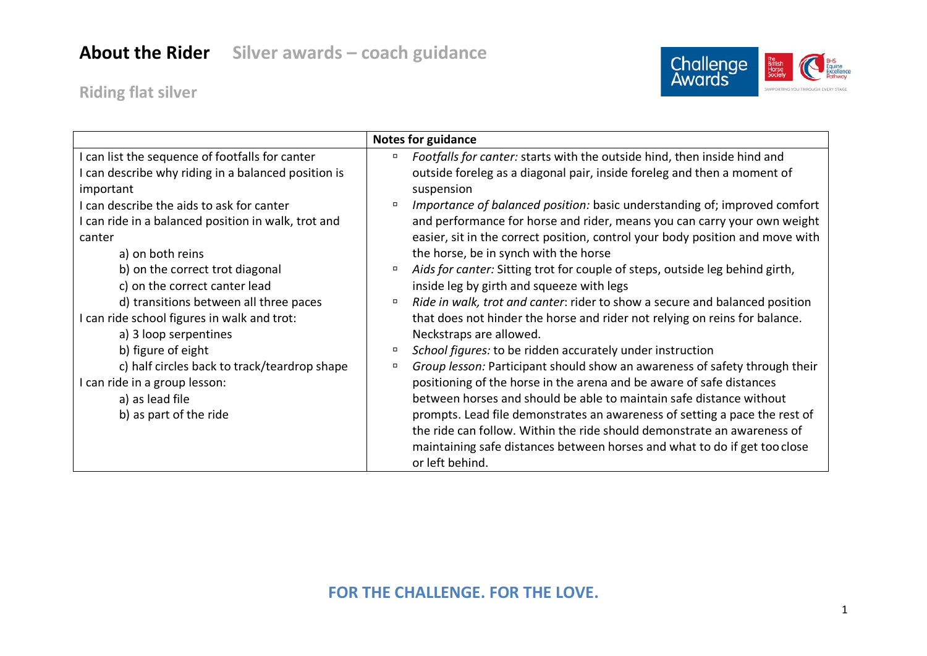## **About the Rider Silver awards – coach guidance**



**Riding flat silver**

|                                                                                                                                                                                                                                                                              | <b>Notes for guidance</b>                                                                                                                                                                                                                                                                                                                                                                                                                                                                                                  |
|------------------------------------------------------------------------------------------------------------------------------------------------------------------------------------------------------------------------------------------------------------------------------|----------------------------------------------------------------------------------------------------------------------------------------------------------------------------------------------------------------------------------------------------------------------------------------------------------------------------------------------------------------------------------------------------------------------------------------------------------------------------------------------------------------------------|
| can list the sequence of footfalls for canter<br>can describe why riding in a balanced position is<br>important<br>can describe the aids to ask for canter<br>I can ride in a balanced position in walk, trot and<br>canter                                                  | Footfalls for canter: starts with the outside hind, then inside hind and<br>π<br>outside foreleg as a diagonal pair, inside foreleg and then a moment of<br>suspension<br>Importance of balanced position: basic understanding of; improved comfort<br>$\Box$<br>and performance for horse and rider, means you can carry your own weight<br>easier, sit in the correct position, control your body position and move with                                                                                                 |
| a) on both reins<br>b) on the correct trot diagonal<br>c) on the correct canter lead<br>d) transitions between all three paces<br>I can ride school figures in walk and trot:<br>a) 3 loop serpentines<br>b) figure of eight<br>c) half circles back to track/teardrop shape | the horse, be in synch with the horse<br>Aids for canter: Sitting trot for couple of steps, outside leg behind girth,<br>Π<br>inside leg by girth and squeeze with legs<br>Ride in walk, trot and canter: rider to show a secure and balanced position<br>Π.<br>that does not hinder the horse and rider not relying on reins for balance.<br>Neckstraps are allowed.<br>School figures: to be ridden accurately under instruction<br>π<br>Group lesson: Participant should show an awareness of safety through their<br>Π |
| I can ride in a group lesson:<br>a) as lead file<br>b) as part of the ride                                                                                                                                                                                                   | positioning of the horse in the arena and be aware of safe distances<br>between horses and should be able to maintain safe distance without<br>prompts. Lead file demonstrates an awareness of setting a pace the rest of<br>the ride can follow. Within the ride should demonstrate an awareness of<br>maintaining safe distances between horses and what to do if get too close<br>or left behind.                                                                                                                       |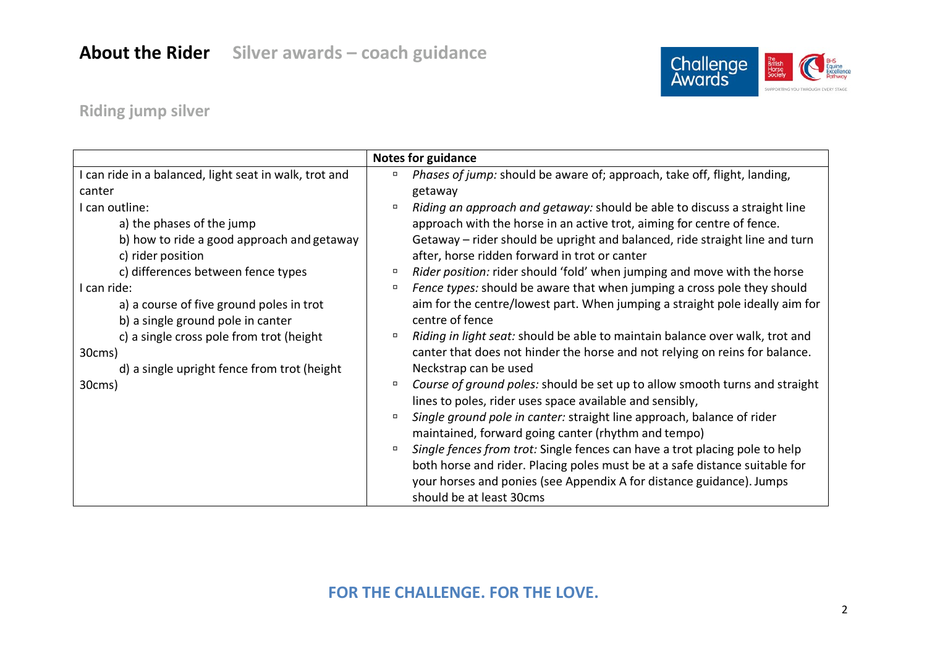

## **Riding jump silver**

|                                                      | <b>Notes for guidance</b>                                                             |
|------------------------------------------------------|---------------------------------------------------------------------------------------|
| can ride in a balanced, light seat in walk, trot and | Phases of jump: should be aware of; approach, take off, flight, landing,<br>$\Box$    |
| canter                                               | getaway                                                                               |
| I can outline:                                       | Riding an approach and getaway: should be able to discuss a straight line<br>$\Box$   |
| a) the phases of the jump                            | approach with the horse in an active trot, aiming for centre of fence.                |
| b) how to ride a good approach and getaway           | Getaway – rider should be upright and balanced, ride straight line and turn           |
| c) rider position                                    | after, horse ridden forward in trot or canter                                         |
| c) differences between fence types                   | Rider position: rider should 'fold' when jumping and move with the horse<br>$\Box$    |
| I can ride:                                          | Fence types: should be aware that when jumping a cross pole they should<br>$\Box$     |
| a) a course of five ground poles in trot             | aim for the centre/lowest part. When jumping a straight pole ideally aim for          |
| b) a single ground pole in canter                    | centre of fence                                                                       |
| c) a single cross pole from trot (height             | Riding in light seat: should be able to maintain balance over walk, trot and<br>α     |
| 30cms)                                               | canter that does not hinder the horse and not relying on reins for balance.           |
| d) a single upright fence from trot (height          | Neckstrap can be used                                                                 |
| 30cms)                                               | Course of ground poles: should be set up to allow smooth turns and straight<br>$\Box$ |
|                                                      | lines to poles, rider uses space available and sensibly,                              |
|                                                      | Single ground pole in canter: straight line approach, balance of rider<br>$\Box$      |
|                                                      | maintained, forward going canter (rhythm and tempo)                                   |
|                                                      | Single fences from trot: Single fences can have a trot placing pole to help<br>$\Box$ |
|                                                      | both horse and rider. Placing poles must be at a safe distance suitable for           |
|                                                      | your horses and ponies (see Appendix A for distance guidance). Jumps                  |
|                                                      | should be at least 30cms                                                              |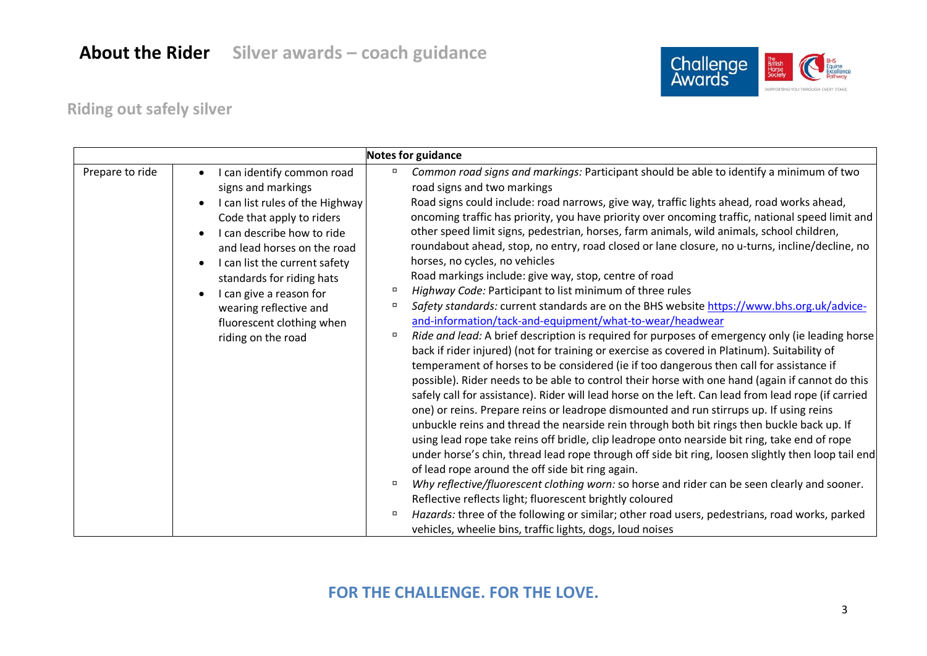

## **Riding out safely silver**

| Notes for guidance |                                                                                                                                                                                                                                                                                                                                                                                                                                                                                                                                                                                                                                                                                                                                                                                                                                                                                                                                                                                                                                                                                                                                                                                                                                                                                                                                                                                                                                                                                                                                                                                                                                                                                                                                                                                                                                                                                                                                                                                                                                                                                                                                                                                                                                                                                                                                                                                                                                                                                                                                                 |  |
|--------------------|-------------------------------------------------------------------------------------------------------------------------------------------------------------------------------------------------------------------------------------------------------------------------------------------------------------------------------------------------------------------------------------------------------------------------------------------------------------------------------------------------------------------------------------------------------------------------------------------------------------------------------------------------------------------------------------------------------------------------------------------------------------------------------------------------------------------------------------------------------------------------------------------------------------------------------------------------------------------------------------------------------------------------------------------------------------------------------------------------------------------------------------------------------------------------------------------------------------------------------------------------------------------------------------------------------------------------------------------------------------------------------------------------------------------------------------------------------------------------------------------------------------------------------------------------------------------------------------------------------------------------------------------------------------------------------------------------------------------------------------------------------------------------------------------------------------------------------------------------------------------------------------------------------------------------------------------------------------------------------------------------------------------------------------------------------------------------------------------------------------------------------------------------------------------------------------------------------------------------------------------------------------------------------------------------------------------------------------------------------------------------------------------------------------------------------------------------------------------------------------------------------------------------------------------------|--|
| Prepare to ride    | Common road signs and markings: Participant should be able to identify a minimum of two<br>I can identify common road<br>$\Box$<br>road signs and two markings<br>signs and markings<br>Road signs could include: road narrows, give way, traffic lights ahead, road works ahead,<br>I can list rules of the Highway<br>oncoming traffic has priority, you have priority over oncoming traffic, national speed limit and<br>Code that apply to riders<br>other speed limit signs, pedestrian, horses, farm animals, wild animals, school children,<br>I can describe how to ride<br>roundabout ahead, stop, no entry, road closed or lane closure, no u-turns, incline/decline, no<br>and lead horses on the road<br>horses, no cycles, no vehicles<br>I can list the current safety<br>Road markings include: give way, stop, centre of road<br>standards for riding hats<br>$\Box$<br>Highway Code: Participant to list minimum of three rules<br>I can give a reason for<br>Safety standards: current standards are on the BHS website https://www.bhs.org.uk/advice-<br>$\Box$<br>wearing reflective and<br>and-information/tack-and-equipment/what-to-wear/headwear<br>fluorescent clothing when<br>Ride and lead: A brief description is required for purposes of emergency only (ie leading horse<br>$\Box$<br>riding on the road<br>back if rider injured) (not for training or exercise as covered in Platinum). Suitability of<br>temperament of horses to be considered (ie if too dangerous then call for assistance if<br>possible). Rider needs to be able to control their horse with one hand (again if cannot do this<br>safely call for assistance). Rider will lead horse on the left. Can lead from lead rope (if carried<br>one) or reins. Prepare reins or leadrope dismounted and run stirrups up. If using reins<br>unbuckle reins and thread the nearside rein through both bit rings then buckle back up. If<br>using lead rope take reins off bridle, clip leadrope onto nearside bit ring, take end of rope<br>under horse's chin, thread lead rope through off side bit ring, loosen slightly then loop tail end<br>of lead rope around the off side bit ring again.<br>Why reflective/fluorescent clothing worn: so horse and rider can be seen clearly and sooner.<br>$\Box$<br>Reflective reflects light; fluorescent brightly coloured<br>Hazards: three of the following or similar; other road users, pedestrians, road works, parked<br>$\Box$<br>vehicles, wheelie bins, traffic lights, dogs, loud noises |  |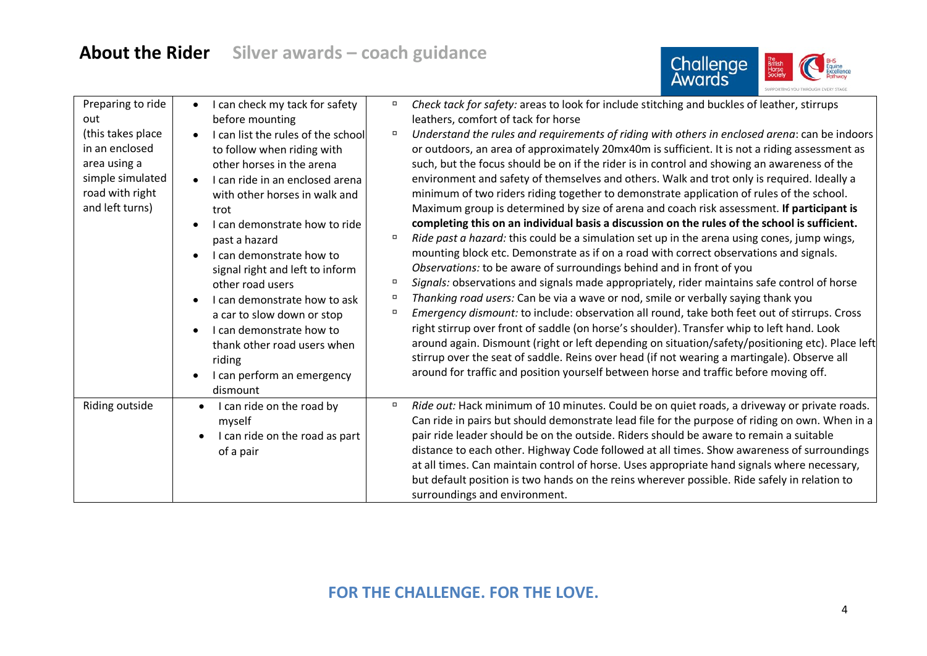# **About the Rider Silver awards – coach guidance**



| Preparing to ride<br>out<br>(this takes place)<br>in an enclosed<br>area using a<br>simple simulated<br>road with right<br>and left turns) | I can check my tack for safety<br>$\bullet$<br>before mounting<br>I can list the rules of the school<br>to follow when riding with<br>other horses in the arena<br>I can ride in an enclosed arena<br>$\bullet$<br>with other horses in walk and<br>trot<br>I can demonstrate how to ride<br>past a hazard<br>I can demonstrate how to<br>signal right and left to inform<br>other road users<br>I can demonstrate how to ask<br>a car to slow down or stop<br>I can demonstrate how to<br>thank other road users when<br>riding<br>I can perform an emergency<br>dismount | Check tack for safety: areas to look for include stitching and buckles of leather, stirrups<br>$\Box$<br>leathers, comfort of tack for horse<br>Understand the rules and requirements of riding with others in enclosed arena: can be indoors<br>$\Box$<br>or outdoors, an area of approximately 20mx40m is sufficient. It is not a riding assessment as<br>such, but the focus should be on if the rider is in control and showing an awareness of the<br>environment and safety of themselves and others. Walk and trot only is required. Ideally a<br>minimum of two riders riding together to demonstrate application of rules of the school.<br>Maximum group is determined by size of arena and coach risk assessment. If participant is<br>completing this on an individual basis a discussion on the rules of the school is sufficient.<br>Ride past a hazard: this could be a simulation set up in the arena using cones, jump wings,<br>mounting block etc. Demonstrate as if on a road with correct observations and signals.<br>Observations: to be aware of surroundings behind and in front of you<br>Signals: observations and signals made appropriately, rider maintains safe control of horse<br>$\Box$<br>Thanking road users: Can be via a wave or nod, smile or verbally saying thank you<br>$\Box$<br>Emergency dismount: to include: observation all round, take both feet out of stirrups. Cross<br>$\Box$<br>right stirrup over front of saddle (on horse's shoulder). Transfer whip to left hand. Look<br>around again. Dismount (right or left depending on situation/safety/positioning etc). Place left<br>stirrup over the seat of saddle. Reins over head (if not wearing a martingale). Observe all<br>around for traffic and position yourself between horse and traffic before moving off. |
|--------------------------------------------------------------------------------------------------------------------------------------------|----------------------------------------------------------------------------------------------------------------------------------------------------------------------------------------------------------------------------------------------------------------------------------------------------------------------------------------------------------------------------------------------------------------------------------------------------------------------------------------------------------------------------------------------------------------------------|------------------------------------------------------------------------------------------------------------------------------------------------------------------------------------------------------------------------------------------------------------------------------------------------------------------------------------------------------------------------------------------------------------------------------------------------------------------------------------------------------------------------------------------------------------------------------------------------------------------------------------------------------------------------------------------------------------------------------------------------------------------------------------------------------------------------------------------------------------------------------------------------------------------------------------------------------------------------------------------------------------------------------------------------------------------------------------------------------------------------------------------------------------------------------------------------------------------------------------------------------------------------------------------------------------------------------------------------------------------------------------------------------------------------------------------------------------------------------------------------------------------------------------------------------------------------------------------------------------------------------------------------------------------------------------------------------------------------------------------------------------------------------------------------------------------------------|
| Riding outside                                                                                                                             | I can ride on the road by<br>myself<br>I can ride on the road as part<br>of a pair                                                                                                                                                                                                                                                                                                                                                                                                                                                                                         | Ride out: Hack minimum of 10 minutes. Could be on quiet roads, a driveway or private roads.<br>$\Box$<br>Can ride in pairs but should demonstrate lead file for the purpose of riding on own. When in a<br>pair ride leader should be on the outside. Riders should be aware to remain a suitable<br>distance to each other. Highway Code followed at all times. Show awareness of surroundings<br>at all times. Can maintain control of horse. Uses appropriate hand signals where necessary,<br>but default position is two hands on the reins wherever possible. Ride safely in relation to<br>surroundings and environment.                                                                                                                                                                                                                                                                                                                                                                                                                                                                                                                                                                                                                                                                                                                                                                                                                                                                                                                                                                                                                                                                                                                                                                                              |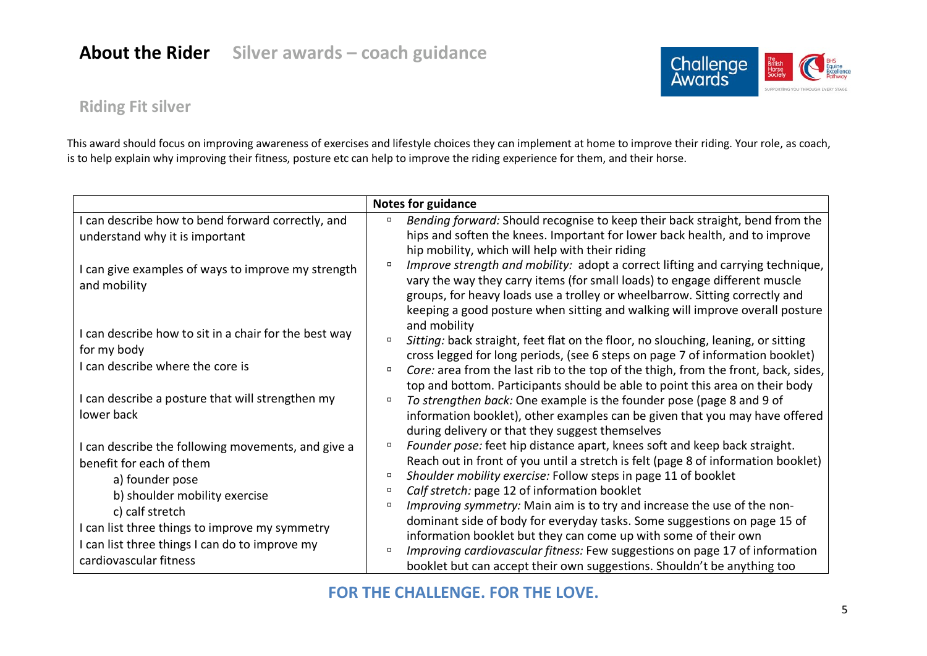

### **Riding Fit silver**

This award should focus on improving awareness of exercises and lifestyle choices they can implement at home to improve their riding. Your role, as coach, is to help explain why improving their fitness, posture etc can help to improve the riding experience for them, and their horse.

|                                                                                                                                                                                                                                                                                     | <b>Notes for guidance</b>                                                                                                                                                                                                                                                                                                                                                                                                                                                                                                                                                                                                                                                                                    |
|-------------------------------------------------------------------------------------------------------------------------------------------------------------------------------------------------------------------------------------------------------------------------------------|--------------------------------------------------------------------------------------------------------------------------------------------------------------------------------------------------------------------------------------------------------------------------------------------------------------------------------------------------------------------------------------------------------------------------------------------------------------------------------------------------------------------------------------------------------------------------------------------------------------------------------------------------------------------------------------------------------------|
| I can describe how to bend forward correctly, and<br>understand why it is important                                                                                                                                                                                                 | Bending forward: Should recognise to keep their back straight, bend from the<br>$\Box$<br>hips and soften the knees. Important for lower back health, and to improve<br>hip mobility, which will help with their riding                                                                                                                                                                                                                                                                                                                                                                                                                                                                                      |
| I can give examples of ways to improve my strength<br>and mobility                                                                                                                                                                                                                  | Improve strength and mobility: adopt a correct lifting and carrying technique,<br>α<br>vary the way they carry items (for small loads) to engage different muscle<br>groups, for heavy loads use a trolley or wheelbarrow. Sitting correctly and<br>keeping a good posture when sitting and walking will improve overall posture<br>and mobility                                                                                                                                                                                                                                                                                                                                                             |
| I can describe how to sit in a chair for the best way<br>for my body<br>I can describe where the core is                                                                                                                                                                            | Sitting: back straight, feet flat on the floor, no slouching, leaning, or sitting<br>cross legged for long periods, (see 6 steps on page 7 of information booklet)<br>Core: area from the last rib to the top of the thigh, from the front, back, sides,<br>$\Box$<br>top and bottom. Participants should be able to point this area on their body                                                                                                                                                                                                                                                                                                                                                           |
| I can describe a posture that will strengthen my<br>lower back                                                                                                                                                                                                                      | To strengthen back: One example is the founder pose (page 8 and 9 of<br>$\Box$<br>information booklet), other examples can be given that you may have offered<br>during delivery or that they suggest themselves                                                                                                                                                                                                                                                                                                                                                                                                                                                                                             |
| I can describe the following movements, and give a<br>benefit for each of them<br>a) founder pose<br>b) shoulder mobility exercise<br>c) calf stretch<br>I can list three things to improve my symmetry<br>I can list three things I can do to improve my<br>cardiovascular fitness | Founder pose: feet hip distance apart, knees soft and keep back straight.<br>Reach out in front of you until a stretch is felt (page 8 of information booklet)<br>Shoulder mobility exercise: Follow steps in page 11 of booklet<br>$\Box$<br>Calf stretch: page 12 of information booklet<br>$\Box$<br>Improving symmetry: Main aim is to try and increase the use of the non-<br>$\Box$<br>dominant side of body for everyday tasks. Some suggestions on page 15 of<br>information booklet but they can come up with some of their own<br>Improving cardiovascular fitness: Few suggestions on page 17 of information<br>$\Box$<br>booklet but can accept their own suggestions. Shouldn't be anything too |

### **FOR THE CHALLENGE. FOR THE LOVE.**